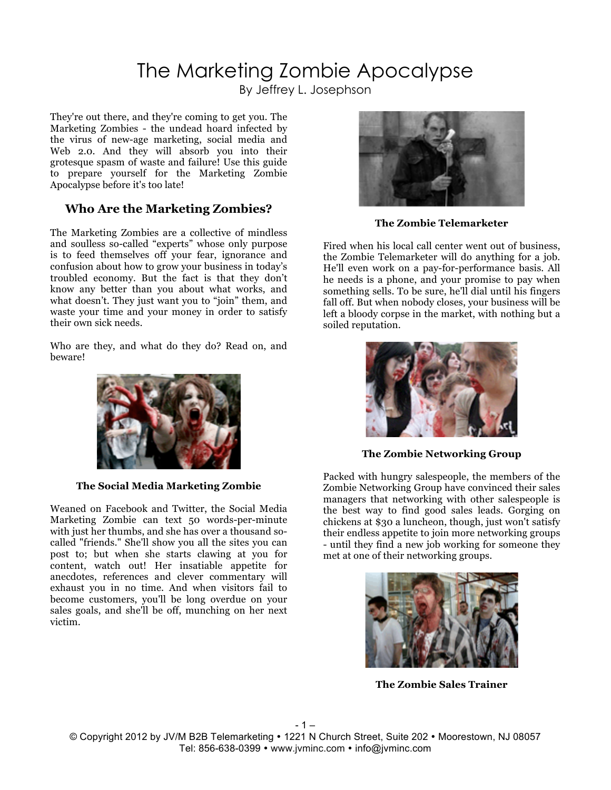# The Marketing Zombie Apocalypse

By Jeffrey L. Josephson

They're out there, and they're coming to get you. The Marketing Zombies - the undead hoard infected by the virus of new-age marketing, social media and Web 2.0. And they will absorb you into their grotesque spasm of waste and failure! Use this guide to prepare yourself for the Marketing Zombie Apocalypse before it's too late!

#### **Who Are the Marketing Zombies?**

The Marketing Zombies are a collective of mindless and soulless so-called "experts" whose only purpose is to feed themselves off your fear, ignorance and confusion about how to grow your business in today's troubled economy. But the fact is that they don't know any better than you about what works, and what doesn't. They just want you to "join" them, and waste your time and your money in order to satisfy their own sick needs.

Who are they, and what do they do? Read on, and beware!



**The Social Media Marketing Zombie**

Weaned on Facebook and Twitter, the Social Media Marketing Zombie can text 50 words-per-minute with just her thumbs, and she has over a thousand socalled "friends." She'll show you all the sites you can post to; but when she starts clawing at you for content, watch out! Her insatiable appetite for anecdotes, references and clever commentary will exhaust you in no time. And when visitors fail to become customers, you'll be long overdue on your sales goals, and she'll be off, munching on her next victim.



**The Zombie Telemarketer**

Fired when his local call center went out of business, the Zombie Telemarketer will do anything for a job. He'll even work on a pay-for-performance basis. All he needs is a phone, and your promise to pay when something sells. To be sure, he'll dial until his fingers fall off. But when nobody closes, your business will be left a bloody corpse in the market, with nothing but a soiled reputation.



**The Zombie Networking Group**

Packed with hungry salespeople, the members of the Zombie Networking Group have convinced their sales managers that networking with other salespeople is the best way to find good sales leads. Gorging on chickens at \$30 a luncheon, though, just won't satisfy their endless appetite to join more networking groups - until they find a new job working for someone they met at one of their networking groups.



**The Zombie Sales Trainer**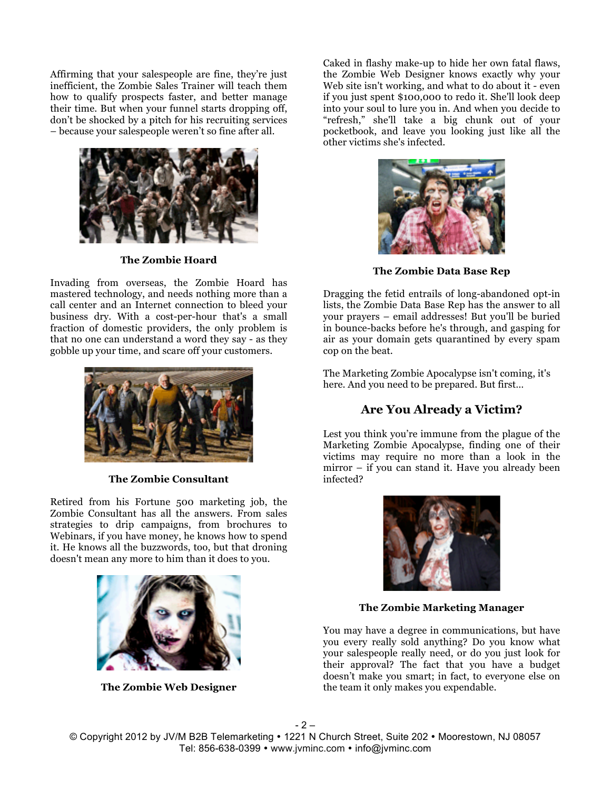Affirming that your salespeople are fine, they're just inefficient, the Zombie Sales Trainer will teach them how to qualify prospects faster, and better manage their time. But when your funnel starts dropping off, don't be shocked by a pitch for his recruiting services – because your salespeople weren't so fine after all.



**The Zombie Hoard**

Invading from overseas, the Zombie Hoard has mastered technology, and needs nothing more than a call center and an Internet connection to bleed your business dry. With a cost-per-hour that's a small fraction of domestic providers, the only problem is that no one can understand a word they say - as they gobble up your time, and scare off your customers.



**The Zombie Consultant**

Retired from his Fortune 500 marketing job, the Zombie Consultant has all the answers. From sales strategies to drip campaigns, from brochures to Webinars, if you have money, he knows how to spend it. He knows all the buzzwords, too, but that droning doesn't mean any more to him than it does to you.



**The Zombie Web Designer**

Caked in flashy make-up to hide her own fatal flaws, the Zombie Web Designer knows exactly why your Web site isn't working, and what to do about it - even if you just spent \$100,000 to redo it. She'll look deep into your soul to lure you in. And when you decide to "refresh," she'll take a big chunk out of your pocketbook, and leave you looking just like all the other victims she's infected.



**The Zombie Data Base Rep**

Dragging the fetid entrails of long-abandoned opt-in lists, the Zombie Data Base Rep has the answer to all your prayers – email addresses! But you'll be buried in bounce-backs before he's through, and gasping for air as your domain gets quarantined by every spam cop on the beat.

The Marketing Zombie Apocalypse isn't coming, it's here. And you need to be prepared. But first…

## **Are You Already a Victim?**

Lest you think you're immune from the plague of the Marketing Zombie Apocalypse, finding one of their victims may require no more than a look in the mirror – if you can stand it. Have you already been infected?



**The Zombie Marketing Manager**

You may have a degree in communications, but have you every really sold anything? Do you know what your salespeople really need, or do you just look for their approval? The fact that you have a budget doesn't make you smart; in fact, to everyone else on the team it only makes you expendable.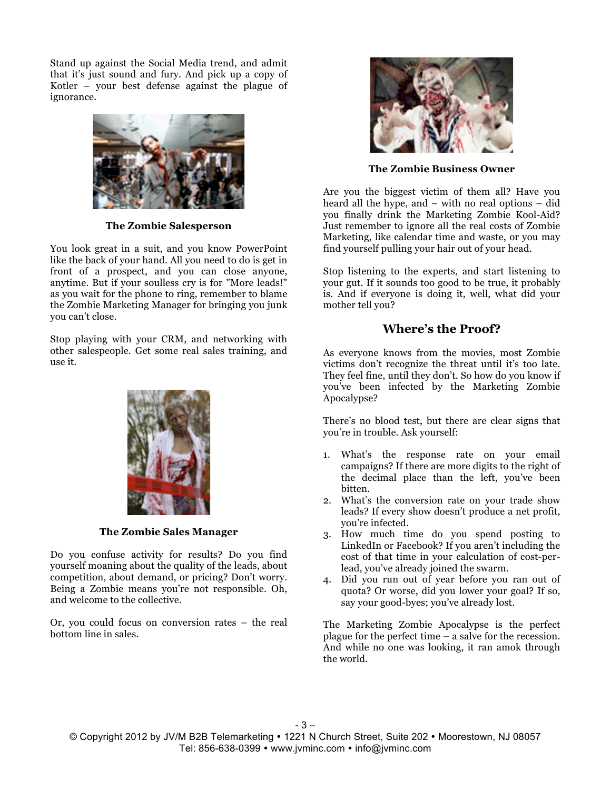Stand up against the Social Media trend, and admit that it's just sound and fury. And pick up a copy of Kotler – your best defense against the plague of ignorance.



**The Zombie Salesperson**

You look great in a suit, and you know PowerPoint like the back of your hand. All you need to do is get in front of a prospect, and you can close anyone, anytime. But if your soulless cry is for "More leads!" as you wait for the phone to ring, remember to blame the Zombie Marketing Manager for bringing you junk you can't close.

Stop playing with your CRM, and networking with other salespeople. Get some real sales training, and use it.



**The Zombie Sales Manager**

Do you confuse activity for results? Do you find yourself moaning about the quality of the leads, about competition, about demand, or pricing? Don't worry. Being a Zombie means you're not responsible. Oh, and welcome to the collective.

Or, you could focus on conversion rates – the real bottom line in sales.



**The Zombie Business Owner**

Are you the biggest victim of them all? Have you heard all the hype, and – with no real options – did you finally drink the Marketing Zombie Kool-Aid? Just remember to ignore all the real costs of Zombie Marketing, like calendar time and waste, or you may find yourself pulling your hair out of your head.

Stop listening to the experts, and start listening to your gut. If it sounds too good to be true, it probably is. And if everyone is doing it, well, what did your mother tell you?

## **Where's the Proof?**

As everyone knows from the movies, most Zombie victims don't recognize the threat until it's too late. They feel fine, until they don't. So how do you know if you've been infected by the Marketing Zombie Apocalypse?

There's no blood test, but there are clear signs that you're in trouble. Ask yourself:

- 1. What's the response rate on your email campaigns? If there are more digits to the right of the decimal place than the left, you've been bitten.
- 2. What's the conversion rate on your trade show leads? If every show doesn't produce a net profit, you're infected.
- 3. How much time do you spend posting to LinkedIn or Facebook? If you aren't including the cost of that time in your calculation of cost-perlead, you've already joined the swarm.
- 4. Did you run out of year before you ran out of quota? Or worse, did you lower your goal? If so, say your good-byes; you've already lost.

The Marketing Zombie Apocalypse is the perfect plague for the perfect time – a salve for the recession. And while no one was looking, it ran amok through the world.